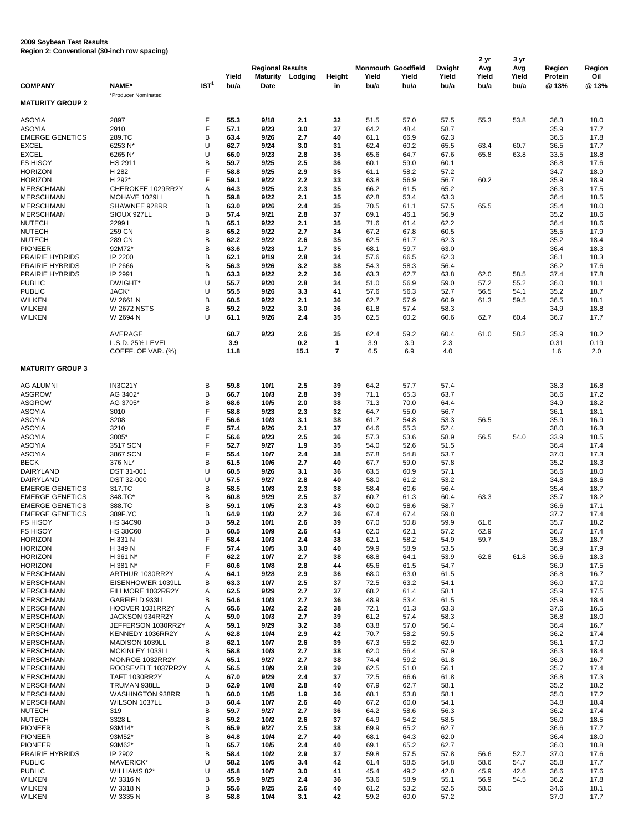**2009 Soybean Test Results Region 2: Conventional (30-inch row spacing)**

|                                                  |                                          |                  |              | <b>Regional Results</b> |             |                               | <b>Monmouth Goodfield</b> |              | <b>Dwight</b> | 2 yr<br>Avg  | 3 yr<br>Avg  | <b>Region</b>  | Region       |
|--------------------------------------------------|------------------------------------------|------------------|--------------|-------------------------|-------------|-------------------------------|---------------------------|--------------|---------------|--------------|--------------|----------------|--------------|
|                                                  |                                          |                  | Yield        | <b>Maturity</b>         | Lodging     | <b>Height</b>                 | Yield                     | Yield        | Yield         | Yield        | Yield        | <b>Protein</b> | Oil          |
| <b>COMPANY</b>                                   | <b>NAME*</b><br>*Producer Nominated      | IST <sup>1</sup> | bu/a         | <b>Date</b>             |             | in                            | bu/a                      | bu/a         | bu/a          | bu/a         | bu/a         | @ 13%          | @13%         |
| <b>MATURITY GROUP 2</b>                          |                                          |                  |              |                         |             |                               |                           |              |               |              |              |                |              |
| <b>ASOYIA</b><br><b>ASOYIA</b>                   | 2897<br>2910                             | F<br>F           | 55.3<br>57.1 | 9/18                    | 2.1         | 32<br>37                      | 51.5<br>64.2              | 57.0         | 57.5<br>58.7  | 55.3         | 53.8         | 36.3           | 18.0<br>17.7 |
| <b>EMERGE GENETICS</b>                           | 289.TC                                   | B                | 63.4         | 9/23<br>9/26            | 3.0<br>2.7  | 40                            | 61.1                      | 48.4<br>66.9 | 62.3          |              |              | 35.9<br>36.5   | 17.8         |
| <b>EXCEL</b>                                     | 6253 N*                                  | U                | 62.7         | 9/24                    | 3.0         | 31                            | 62.4                      | 60.2         | 65.5          | 63.4         | 60.7         | 36.5           | 17.7         |
| <b>EXCEL</b>                                     | 6265 N*                                  | U                | 66.0         | 9/23                    | 2.8         | 35                            | 65.6                      | 64.7         | 67.6          | 65.8         | 63.8         | 33.5           | 18.8         |
| <b>FS HISOY</b><br><b>HORIZON</b>                | <b>HS 2911</b><br>H 282                  | B<br>F           | 59.7<br>58.8 | 9/25<br>9/25            | 2.5<br>2.9  | 36<br>35                      | 60.1<br>61.1              | 59.0<br>58.2 | 60.1<br>57.2  |              |              | 36.8<br>34.7   | 17.6<br>18.9 |
| <b>HORIZON</b>                                   | H 292*                                   | F                | 59.1         | 9/22                    | 2.2         | 33                            | 63.8                      | 56.9         | 56.7          | 60.2         |              | 35.9           | 18.9         |
| <b>MERSCHMAN</b>                                 | CHEROKEE 1029RR2Y                        | Α                | 64.3         | 9/25                    | 2.3         | 35                            | 66.2                      | 61.5         | 65.2          |              |              | 36.3           | 17.5         |
| <b>MERSCHMAN</b><br><b>MERSCHMAN</b>             | MOHAVE 1029LL<br>SHAWNEE 928RR           | B<br>B           | 59.8<br>63.0 | 9/22<br>9/26            | 2.1<br>2.4  | 35<br>35                      | 62.8<br>70.5              | 53.4<br>61.1 | 63.3<br>57.5  | 65.5         |              | 36.4<br>35.4   | 18.5<br>18.0 |
| <b>MERSCHMAN</b>                                 | SIOUX 927LL                              | B                | 57.4         | 9/21                    | 2.8         | 37                            | 69.1                      | 46.1         | 56.9          |              |              | 35.2           | 18.6         |
| <b>NUTECH</b>                                    | 2299L                                    | B                | 65.1         | 9/22                    | 2.1         | 35                            | 71.6                      | 61.4         | 62.2          |              |              | 36.4           | 18.6         |
| <b>NUTECH</b><br><b>NUTECH</b>                   | 259 CN<br>289 CN                         | B<br>B           | 65.2<br>62.2 | 9/22<br>9/22            | 2.7<br>2.6  | 34<br>35                      | 67.2<br>62.5              | 67.8<br>61.7 | 60.5<br>62.3  |              |              | 35.5<br>35.2   | 17.9<br>18.4 |
| <b>PIONEER</b>                                   | 92M72*                                   | B                | 63.6         | 9/23                    | 1.7         | 35                            | 68.1                      | 59.7         | 63.0          |              |              | 36.4           | 18.3         |
| PRAIRIE HYBRIDS                                  | IP 2200                                  | B                | 62.1         | 9/19                    | 2.8         | 34                            | 57.6                      | 66.5         | 62.3          |              |              | 36.1           | 18.3         |
| PRAIRIE HYBRIDS<br>PRAIRIE HYBRIDS               | IP 2666<br>IP 2991                       | B<br>B           | 56.3<br>63.3 | 9/26<br>9/22            | 3.2<br>2.2  | 38<br>36                      | 54.3<br>63.3              | 58.3<br>62.7 | 56.4<br>63.8  | 62.0         | 58.5         | 36.2<br>37.4   | 17.6<br>17.8 |
| <b>PUBLIC</b>                                    | DWIGHT*                                  | U                | 55.7         | 9/20                    | 2.8         | 34                            | 51.0                      | 56.9         | 59.0          | 57.2         | 55.2         | 36.0           | 18.1         |
| <b>PUBLIC</b>                                    | JACK*                                    | U                | 55.5         | 9/26                    | 3.3         | 41                            | 57.6                      | 56.3         | 52.7          | 56.5         | 54.1         | 35.2           | 18.7         |
| <b>WILKEN</b><br><b>WILKEN</b>                   | W 2661 N<br><b>W 2672 NSTS</b>           | B<br>B           | 60.5<br>59.2 | 9/22<br>9/22            | 2.1<br>3.0  | 36<br>36                      | 62.7<br>61.8              | 57.9<br>57.4 | 60.9<br>58.3  | 61.3         | 59.5         | 36.5<br>34.9   | 18.1<br>18.8 |
| <b>WILKEN</b>                                    | W 2694 N                                 | U                | 61.1         | 9/26                    | 2.4         | 35                            | 62.5                      | 60.2         | 60.6          | 62.7         | 60.4         | 36.7           | 17.7         |
|                                                  | AVERAGE                                  |                  | 60.7         | 9/23                    | 2.6         | 35                            | 62.4                      | 59.2         | 60.4          | 61.0         | 58.2         | 35.9           | 18.2         |
|                                                  | L.S.D. 25% LEVEL<br>COEFF. OF VAR. (%)   |                  | 3.9<br>11.8  |                         | 0.2<br>15.1 | $\mathbf 1$<br>$\overline{7}$ | 3.9<br>6.5                | 3.9<br>6.9   | 2.3<br>4.0    |              |              | 0.31<br>1.6    | 0.19<br>2.0  |
| <b>MATURITY GROUP 3</b>                          |                                          |                  |              |                         |             |                               |                           |              |               |              |              |                |              |
| <b>AG ALUMNI</b>                                 | IN3C21Y                                  | B                | 59.8         | 10/1                    | 2.5         | 39                            | 64.2                      | 57.7         | 57.4          |              |              | 38.3           | 16.8         |
| <b>ASGROW</b><br><b>ASGROW</b>                   | AG 3402*<br>AG 3705*                     | B<br>B           | 66.7<br>68.6 | 10/3<br>10/5            | 2.8<br>2.0  | 39<br>38                      | 71.1<br>71.3              | 65.3<br>70.0 | 63.7<br>64.4  |              |              | 36.6<br>34.9   | 17.2<br>18.2 |
| <b>ASOYIA</b>                                    | 3010                                     | E                | 58.8         | 9/23                    | 2.3         | 32                            | 64.7                      | 55.0         | 56.7          |              |              | 36.1           | 18.1         |
| <b>ASOYIA</b>                                    | 3208                                     | F                | 56.6         | 10/3                    | 3.1         | 38                            | 61.7                      | 54.8         | 53.3          | 56.5         |              | 35.9           | 16.9         |
| <b>ASOYIA</b><br><b>ASOYIA</b>                   | 3210<br>3005*                            | F<br>F           | 57.4<br>56.6 | 9/26<br>9/23            | 2.1<br>2.5  | 37<br>36                      | 64.6<br>57.3              | 55.3<br>53.6 | 52.4<br>58.9  | 56.5         | 54.0         | 38.0<br>33.9   | 16.3<br>18.5 |
| <b>ASOYIA</b>                                    | 3517 SCN                                 | F                | 52.7         | 9/27                    | 1.9         | 35                            | 54.0                      | 52.6         | 51.5          |              |              | 36.4           | 17.4         |
| <b>ASOYIA</b>                                    | 3867 SCN                                 | F                | 55.4<br>61.5 | 10/7                    | 2.4<br>2.7  | 38                            | 57.8                      | 54.8         | 53.7          |              |              | 37.0           | 17.3         |
| <b>BECK</b><br><b>DAIRYLAND</b>                  | 376 NL*<br><b>DST 31-001</b>             | B<br>U           | 60.5         | 10/6<br>9/26            | 3.1         | 40<br>36                      | 67.7<br>63.5              | 59.0<br>60.9 | 57.8<br>57.1  |              |              | 35.2<br>36.6   | 18.3<br>18.0 |
| <b>DAIRYLAND</b>                                 | DST 32-000                               | U                | 57.5         | 9/27                    | 2.8         | 40                            | 58.0                      | 61.2         | 53.2          |              |              | 34.8           | 18.6         |
| <b>EMERGE GENETICS</b><br><b>EMERGE GENETICS</b> | 317.TC<br>348.TC*                        | B<br>B           | 58.5<br>60.8 | 10/3<br>9/29            | 2.3<br>2.5  | 38<br>37                      | 58.4<br>60.7              | 60.6<br>61.3 | 56.4<br>60.4  | 63.3         |              | 35.4<br>35.7   | 18.7<br>18.2 |
| <b>EMERGE GENETICS</b>                           | 388.TC                                   | B                | 59.1         | 10/5                    | 2.3         | 43                            | 60.0                      | 58.6         | 58.7          |              |              | 36.6           | 17.1         |
| <b>EMERGE GENETICS</b>                           | 389F.YC                                  | B                | 64.9         | 10/3                    | 2.7         | 36                            | 67.4                      | 67.4         | 59.8          |              |              | 37.7           | 17.4         |
| <b>FS HISOY</b><br><b>FS HISOY</b>               | <b>HS 34C90</b><br><b>HS 38C60</b>       | B<br>B           | 59.2<br>60.5 | 10/1<br>10/9            | 2.6<br>2.6  | 39<br>43                      | 67.0<br>62.0              | 50.8<br>62.1 | 59.9<br>57.2  | 61.6<br>62.9 |              | 35.7<br>36.7   | 18.2<br>17.4 |
| <b>HORIZON</b>                                   | H 331 N                                  | F                | 58.4         | 10/3                    | 2.4         | 38                            | 62.1                      | 58.2         | 54.9          | 59.7         |              | 35.3           | 18.7         |
| <b>HORIZON</b>                                   | H 349 N                                  | F                | 57.4         | 10/5                    | 3.0         | 40                            | 59.9                      | 58.9         | 53.5          |              |              | 36.9           | 17.9         |
| <b>HORIZON</b><br><b>HORIZON</b>                 | H 361 N*<br>H 381 N*                     |                  | 62.2<br>60.6 | 10/7<br>10/8            | 2.7<br>2.8  | 38<br>44                      | 68.8<br>65.6              | 64.1<br>61.5 | 53.9<br>54.7  | 62.8         | 61.8         | 36.6<br>36.9   | 18.3<br>17.5 |
| <b>MERSCHMAN</b>                                 | ARTHUR 1030RR2Y                          | Α                | 64.1         | 9/28                    | 2.9         | 36                            | 68.0                      | 63.0         | 61.5          |              |              | 36.8           | 16.7         |
| <b>MERSCHMAN</b>                                 | EISENHOWER 1039LL                        | B                | 63.3         | 10/7                    | 2.5         | 37                            | 72.5                      | 63.2         | 54.1          |              |              | 36.0           | 17.0         |
| <b>MERSCHMAN</b><br><b>MERSCHMAN</b>             | FILLMORE 1032RR2Y<br>GARFIELD 933LL      | Α<br>В           | 62.5<br>54.6 | 9/29<br>10/3            | 2.7<br>2.7  | 37<br>36                      | 68.2<br>48.9              | 61.4<br>53.4 | 58.1<br>61.5  |              |              | 35.9<br>35.9   | 17.5<br>18.4 |
| <b>MERSCHMAN</b>                                 | HOOVER 1031RR2Y                          | Α                | 65.6         | 10/2                    | 2.2         | 38                            | 72.1                      | 61.3         | 63.3          |              |              | 37.6           | 16.5         |
| <b>MERSCHMAN</b>                                 | JACKSON 934RR2Y                          | A                | 59.0         | 10/3                    | 2.7         | 39                            | 61.2                      | 57.4         | 58.3          |              |              | 36.8           | 18.0         |
| <b>MERSCHMAN</b><br><b>MERSCHMAN</b>             | JEFFERSON 1030RR2Y<br>KENNEDY 1036RR2Y   | A<br>A           | 59.1<br>62.8 | 9/29<br>10/4            | 3.2<br>2.9  | 38<br>42                      | 63.8<br>70.7              | 57.0<br>58.2 | 56.4<br>59.5  |              |              | 36.4<br>36.2   | 16.7<br>17.4 |
| <b>MERSCHMAN</b>                                 | MADISON 1039LL                           | B                | 62.1         | 10/7                    | 2.6         | 39                            | 67.3                      | 56.2         | 62.9          |              |              | 36.1           | 17.0         |
| <b>MERSCHMAN</b>                                 | MCKINLEY 1033LL                          | в                | 58.8         | 10/3                    | 2.7         | 38                            | 62.0                      | 56.4         | 57.9          |              |              | 36.3           | 18.4         |
| <b>MERSCHMAN</b><br><b>MERSCHMAN</b>             | MONROE 1032RR2Y<br>ROOSEVELT 1037RR2Y    | A<br>A           | 65.1<br>56.5 | 9/27<br>10/9            | 2.7<br>2.8  | 38<br>39                      | 74.4<br>62.5              | 59.2<br>51.0 | 61.8<br>56.1  |              |              | 36.9<br>35.7   | 16.7<br>17.4 |
| <b>MERSCHMAN</b>                                 | <b>TAFT 1030RR2Y</b>                     | A                | 67.0         | 9/29                    | 2.4         | 37                            | 72.5                      | 66.6         | 61.8          |              |              | 36.8           | 17.3         |
| <b>MERSCHMAN</b>                                 | TRUMAN 938LL                             | Β                | 62.9         | 10/8                    | 2.8         | 40                            | 67.9                      | 62.7         | 58.1          |              |              | 35.2           | 18.2         |
| <b>MERSCHMAN</b><br><b>MERSCHMAN</b>             | <b>WASHINGTON 938RR</b><br>WILSON 1037LL | Β<br>В           | 60.0<br>60.4 | 10/5<br>10/7            | 1.9<br>2.6  | 36<br>40                      | 68.1<br>67.2              | 53.8<br>60.0 | 58.1<br>54.1  |              |              | 35.0<br>34.8   | 17.2<br>18.4 |
| <b>NUTECH</b>                                    | 319                                      | B                | 59.7         | 9/27                    | 2.7         | 36                            | 64.2                      | 58.6         | 56.3          |              |              | 36.2           | 17.4         |
| <b>NUTECH</b>                                    | 3328L                                    | B                | 59.2         | $10/2$                  | 2.6         | 37                            | 64.9                      | 54.2         | 58.5          |              |              | 36.0           | 18.5         |
| <b>PIONEER</b><br><b>PIONEER</b>                 | 93M14*<br>93M52*                         | B<br>B           | 65.9<br>64.8 | 9/27<br>10/4            | 2.5<br>2.7  | 38<br>40                      | 69.9<br>68.1              | 65.2<br>64.3 | 62.7<br>62.0  |              |              | 36.6<br>36.4   | 17.7<br>18.0 |
| <b>PIONEER</b>                                   | 93M62*                                   | B                | 65.7         | 10/5                    | 2.4         | 40                            | 69.1                      | 65.2         | 62.7          |              |              | 36.0           | 18.8         |
| PRAIRIE HYBRIDS<br><b>PUBLIC</b>                 | IP 2902<br>MAVERICK*                     | B<br>U           | 58.4<br>58.2 | $10/2$<br>$10/5$        | 2.9<br>3.4  | 37<br>42                      | 59.8<br>61.4              | 57.5<br>58.5 | 57.8<br>54.8  | 56.6<br>58.6 | 52.7<br>54.7 | 37.0<br>35.8   | 17.6<br>17.7 |
| <b>PUBLIC</b>                                    | WILLIAMS 82*                             | U                | 45.8         | 10/7                    | 3.0         | 41                            | 45.4                      | 49.2         | 42.8          | 45.9         | 42.6         | 36.6           | 17.6         |
| <b>WILKEN</b>                                    | W 3316 N                                 | B                | 55.9         | 9/25                    | 2.4         | 36                            | 53.6                      | 58.9         | 55.1          | 56.9         | 54.5         | 36.2           | 17.8         |
| <b>WILKEN</b><br><b>WILKEN</b>                   | W 3318 N<br>W 3335 N                     | Β<br>B           | 55.6<br>58.8 | 9/25<br>$10/4$          | 2.6<br>3.1  | 40<br>42                      | 61.2<br>59.2              | 53.2<br>60.0 | 52.5<br>57.2  | 58.0         |              | 34.6<br>37.0   | 18.1<br>17.7 |